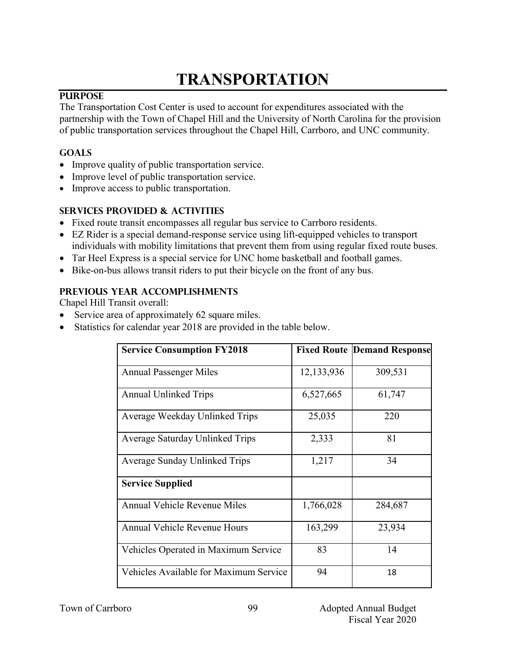# **TRANSPORTATION**

## **PURPOSE**

The Transportation Cost Center is used to account for expenditures associated with the partnership with the Town of Chapel Hill and the University of North Carolina for the provision of public transportation services throughout the Chapel Hill, Carrboro, and UNC community.

## **GOALS**

- Improve quality of public transportation service.
- Improve level of public transportation service.
- Improve access to public transportation.

#### **SERVICES PROVIDED & ACTIVITIES**

- Fixed route transit encompasses all regular bus service to Carrboro residents.
- EZ Rider is a special demand-response service using lift-equipped vehicles to transport individuals with mobility limitations that prevent them from using regular fixed route buses.
- Tar Heel Express is a special service for UNC home basketball and football games.
- Bike-on-bus allows transit riders to put their bicycle on the front of any bus.

#### **PREVIOUS YEAR ACCOMPLISHMENTS**

Chapel Hill Transit overall:

- Service area of approximately 62 square miles.
- Statistics for calendar year 2018 are provided in the table below.

| <b>Service Consumption FY2018</b>      |            | <b>Fixed Route Demand Response</b> |
|----------------------------------------|------------|------------------------------------|
| <b>Annual Passenger Miles</b>          | 12,133,936 | 309,531                            |
| <b>Annual Unlinked Trips</b>           | 6,527,665  | 61,747                             |
| Average Weekday Unlinked Trips         | 25,035     | 220                                |
| Average Saturday Unlinked Trips        | 2,333      | 81                                 |
| Average Sunday Unlinked Trips          | 1,217      | 34                                 |
| <b>Service Supplied</b>                |            |                                    |
| <b>Annual Vehicle Revenue Miles</b>    | 1,766,028  | 284,687                            |
| <b>Annual Vehicle Revenue Hours</b>    | 163,299    | 23,934                             |
| Vehicles Operated in Maximum Service   | 83         | 14                                 |
| Vehicles Available for Maximum Service | 94         | 18                                 |